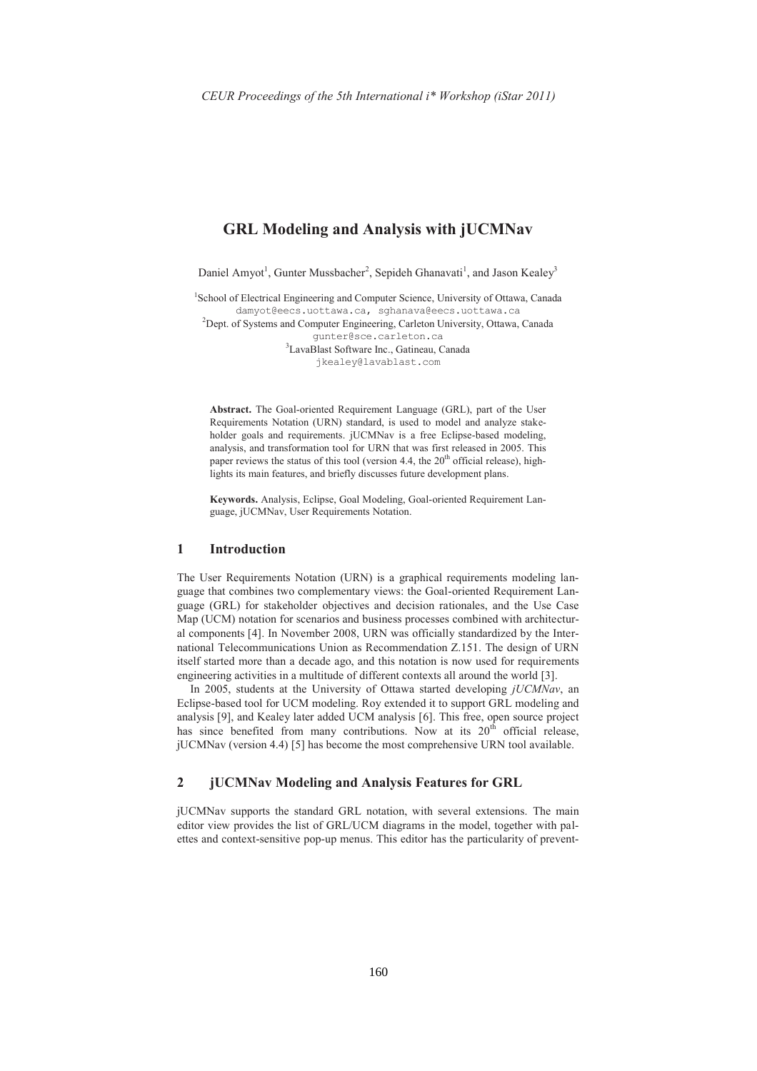# **GRL Modeling and Analysis with jUCMNav**

Daniel Amvot<sup>1</sup>, Gunter Mussbacher<sup>2</sup>, Sepideh Ghanavati<sup>1</sup>, and Jason Kealey<sup>3</sup>

<sup>1</sup>School of Electrical Engineering and Computer Science, University of Ottawa, Canada damyot@eecs.uottawa.ca, sqhanava@eecs.uottawa.ca <sup>2</sup>Dept. of Systems and Computer Engineering, Carleton University, Ottawa, Canada qunter@sce.carleton.ca <sup>3</sup>LavaBlast Software Inc., Gatineau, Canada

jkealey@lavablast.com

Abstract. The Goal-oriented Requirement Language (GRL), part of the User Requirements Notation (URN) standard, is used to model and analyze stakeholder goals and requirements. jUCMNav is a free Eclipse-based modeling, analysis, and transformation tool for URN that was first released in 2005. This paper reviews the status of this tool (version 4.4, the  $20<sup>th</sup>$  official release), highlights its main features, and briefly discusses future development plans.

Keywords. Analysis, Eclipse, Goal Modeling, Goal-oriented Requirement Language, jUCMNav, User Requirements Notation.

#### $\mathbf{1}$ **Introduction**

The User Requirements Notation (URN) is a graphical requirements modeling language that combines two complementary views: the Goal-oriented Requirement Language (GRL) for stakeholder objectives and decision rationales, and the Use Case Map (UCM) notation for scenarios and business processes combined with architectural components [4]. In November 2008, URN was officially standardized by the International Telecommunications Union as Recommendation Z.151. The design of URN itself started more than a decade ago, and this notation is now used for requirements engineering activities in a multitude of different contexts all around the world [3].

In 2005, students at the University of Ottawa started developing jUCMNav, an Eclipse-based tool for UCM modeling. Roy extended it to support GRL modeling and analysis [9], and Kealey later added UCM analysis [6]. This free, open source project has since benefited from many contributions. Now at its  $20<sup>th</sup>$  official release, jUCMNav (version 4.4) [5] has become the most comprehensive URN tool available.

#### $\overline{2}$ **jUCMNav Modeling and Analysis Features for GRL**

jUCMNav supports the standard GRL notation, with several extensions. The main editor view provides the list of GRL/UCM diagrams in the model, together with palettes and context-sensitive pop-up menus. This editor has the particularity of prevent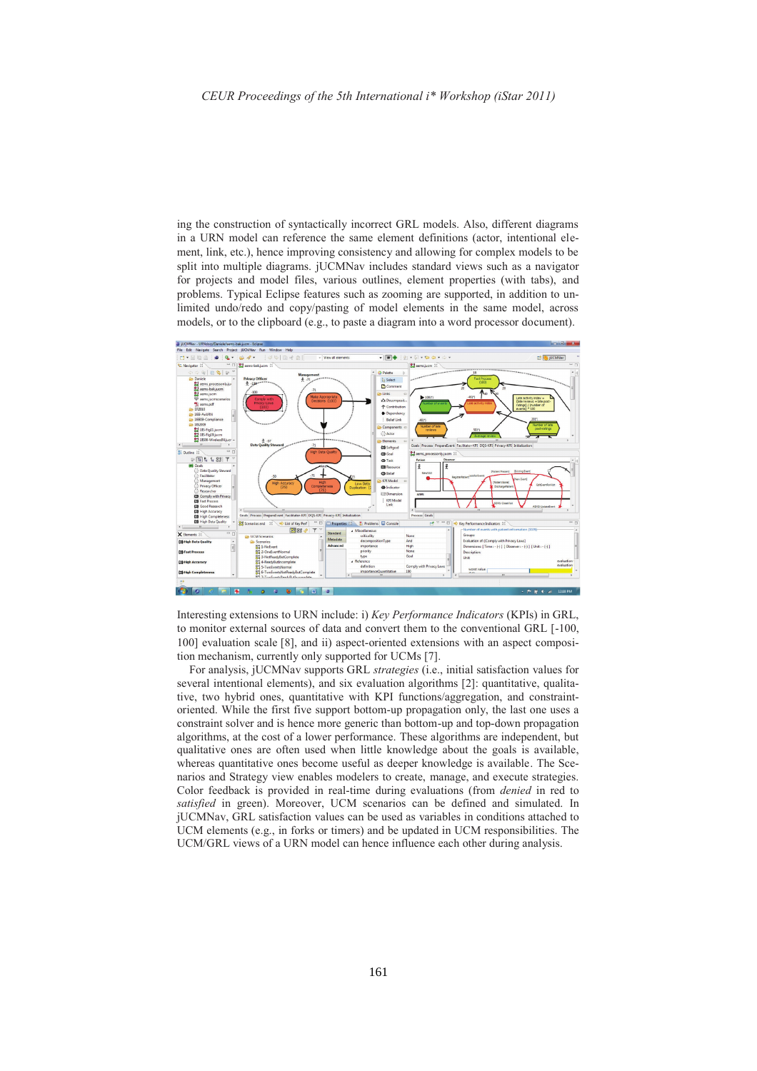ing the construction of syntactically incorrect GRL models. Also, different diagrams in a URN model can reference the same element definitions (actor, intentional element, link, etc.), hence improving consistency and allowing for complex models to be split into multiple diagrams. jUCMNav includes standard views such as a navigator for projects and model files, various outlines, element properties (with tabs), and problems. Typical Eclipse features such as zooming are supported, in addition to unlimited undo/redo and copy/pasting of model elements in the same model, across models, or to the clipboard (e.g., to paste a diagram into a word processor document).



Interesting extensions to URN include: i) Key Performance Indicators (KPIs) in GRL, to monitor external sources of data and convert them to the conventional GRL [-100, 100] evaluation scale [8], and ii) aspect-oriented extensions with an aspect composition mechanism, currently only supported for UCMs [7].

For analysis, jUCMNav supports GRL strategies (i.e., initial satisfaction values for several intentional elements), and six evaluation algorithms [2]: quantitative, qualitative, two hybrid ones, quantitative with KPI functions/aggregation, and constraintoriented. While the first five support bottom-up propagation only, the last one uses a constraint solver and is hence more generic than bottom-up and top-down propagation algorithms, at the cost of a lower performance. These algorithms are independent, but qualitative ones are often used when little knowledge about the goals is available, whereas quantitative ones become useful as deeper knowledge is available. The Scenarios and Strategy view enables modelers to create, manage, and execute strategies. Color feedback is provided in real-time during evaluations (from *denied* in red to satisfied in green). Moreover, UCM scenarios can be defined and simulated. In jUCMNav, GRL satisfaction values can be used as variables in conditions attached to UCM elements (e.g., in forks or timers) and be updated in UCM responsibilities. The UCM/GRL views of a URN model can hence influence each other during analysis.